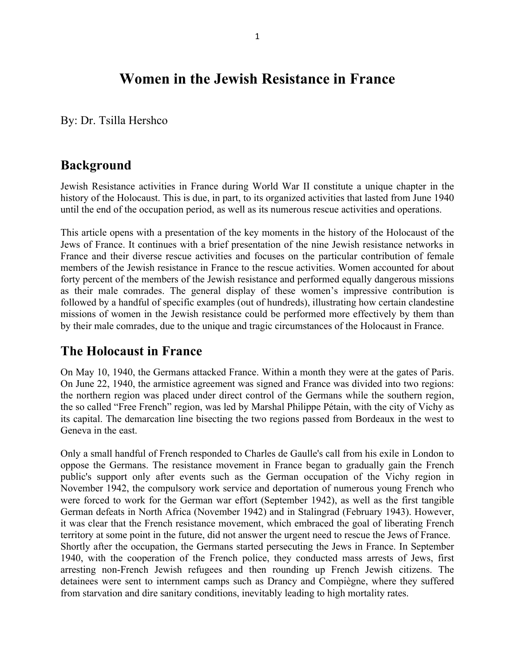# **Women in the Jewish Resistance in France**

By: Dr. Tsilla Hershco

## **Background**

Jewish Resistance activities in France during World War II constitute a unique chapter in the history of the Holocaust. This is due, in part, to its organized activities that lasted from June 1940 until the end of the occupation period, as well as its numerous rescue activities and operations.

This article opens with a presentation of the key moments in the history of the Holocaust of the Jews of France. It continues with a brief presentation of the nine Jewish resistance networks in France and their diverse rescue activities and focuses on the particular contribution of female members of the Jewish resistance in France to the rescue activities. Women accounted for about forty percent of the members of the Jewish resistance and performed equally dangerous missions as their male comrades. The general display of these women's impressive contribution is followed by a handful of specific examples (out of hundreds), illustrating how certain clandestine missions of women in the Jewish resistance could be performed more effectively by them than by their male comrades, due to the unique and tragic circumstances of the Holocaust in France.

## **The Holocaust in France**

On May 10, 1940, the Germans attacked France. Within a month they were at the gates of Paris. On June 22, 1940, the armistice agreement was signed and France was divided into two regions: the northern region was placed under direct control of the Germans while the southern region, the so called "Free French" region, was led by Marshal Philippe Pétain, with the city of Vichy as its capital. The demarcation line bisecting the two regions passed from Bordeaux in the west to Geneva in the east.

Only a small handful of French responded to Charles de Gaulle's call from his exile in London to oppose the Germans. The resistance movement in France began to gradually gain the French public's support only after events such as the German occupation of the Vichy region in November 1942, the compulsory work service and deportation of numerous young French who were forced to work for the German war effort (September 1942), as well as the first tangible German defeats in North Africa (November 1942) and in Stalingrad (February 1943). However, it was clear that the French resistance movement, which embraced the goal of liberating French territory at some point in the future, did not answer the urgent need to rescue the Jews of France. Shortly after the occupation, the Germans started persecuting the Jews in France. In September 1940, with the cooperation of the French police, they conducted mass arrests of Jews, first arresting non-French Jewish refugees and then rounding up French Jewish citizens. The detainees were sent to internment camps such as Drancy and Compiègne, where they suffered from starvation and dire sanitary conditions, inevitably leading to high mortality rates.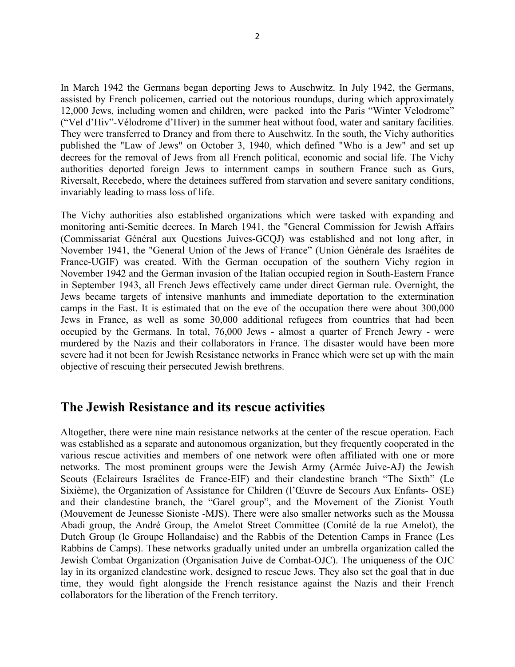In March 1942 the Germans began deporting Jews to Auschwitz. In July 1942, the Germans, assisted by French policemen, carried out the notorious roundups, during which approximately 12,000 Jews, including women and children, were packed into the Paris "Winter Velodrome" ("Vel d'Hiv"-Vélodrome d'Hiver) in the summer heat without food, water and sanitary facilities. They were transferred to Drancy and from there to Auschwitz. In the south, the Vichy authorities published the "Law of Jews" on October 3, 1940, which defined "Who is a Jew" and set up decrees for the removal of Jews from all French political, economic and social life. The Vichy authorities deported foreign Jews to internment camps in southern France such as Gurs, Riversalt, Recebedo, where the detainees suffered from starvation and severe sanitary conditions, invariably leading to mass loss of life.

The Vichy authorities also established organizations which were tasked with expanding and monitoring anti-Semitic decrees. In March 1941, the "General Commission for Jewish Affairs (Commissariat Général aux Questions Juives-GCQJ) was established and not long after, in November 1941, the "General Union of the Jews of France" (Union Générale des Israélites de France-UGIF) was created. With the German occupation of the southern Vichy region in November 1942 and the German invasion of the Italian occupied region in South-Eastern France in September 1943, all French Jews effectively came under direct German rule. Overnight, the Jews became targets of intensive manhunts and immediate deportation to the extermination camps in the East. It is estimated that on the eve of the occupation there were about 300,000 Jews in France, as well as some 30,000 additional refugees from countries that had been occupied by the Germans. In total, 76,000 Jews - almost a quarter of French Jewry - were murdered by the Nazis and their collaborators in France. The disaster would have been more severe had it not been for Jewish Resistance networks in France which were set up with the main objective of rescuing their persecuted Jewish brethrens.

### **The Jewish Resistance and its rescue activities**

Altogether, there were nine main resistance networks at the center of the rescue operation. Each was established as a separate and autonomous organization, but they frequently cooperated in the various rescue activities and members of one network were often affiliated with one or more networks. The most prominent groups were the Jewish Army (Armée Juive-AJ) the Jewish Scouts (Eclaireurs Israélites de France-EIF) and their clandestine branch "The Sixth" (Le Sixième), the Organization of Assistance for Children (l'Œuvre de Secours Aux Enfants- OSE) and their clandestine branch, the "Garel group", and the Movement of the Zionist Youth (Mouvement de Jeunesse Sioniste -MJS). There were also smaller networks such as the Moussa Abadi group, the André Group, the Amelot Street Committee (Comité de la rue Amelot), the Dutch Group (le Groupe Hollandaise) and the Rabbis of the Detention Camps in France (Les Rabbins de Camps). These networks gradually united under an umbrella organization called the Jewish Combat Organization (Organisation Juive de Combat-OJC). The uniqueness of the OJC lay in its organized clandestine work, designed to rescue Jews. They also set the goal that in due time, they would fight alongside the French resistance against the Nazis and their French collaborators for the liberation of the French territory.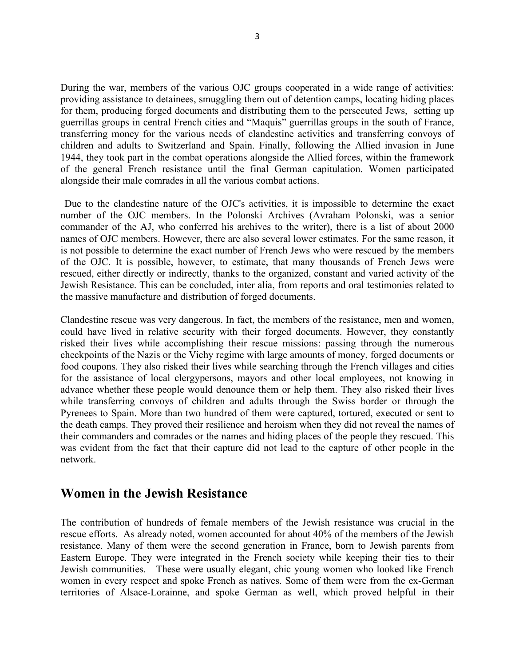During the war, members of the various OJC groups cooperated in a wide range of activities: providing assistance to detainees, smuggling them out of detention camps, locating hiding places for them, producing forged documents and distributing them to the persecuted Jews, setting up guerrillas groups in central French cities and "Maquis" guerrillas groups in the south of France, transferring money for the various needs of clandestine activities and transferring convoys of children and adults to Switzerland and Spain. Finally, following the Allied invasion in June 1944, they took part in the combat operations alongside the Allied forces, within the framework of the general French resistance until the final German capitulation. Women participated alongside their male comrades in all the various combat actions.

Due to the clandestine nature of the OJC's activities, it is impossible to determine the exact number of the OJC members. In the Polonski Archives (Avraham Polonski, was a senior commander of the AJ, who conferred his archives to the writer), there is a list of about 2000 names of OJC members. However, there are also several lower estimates. For the same reason, it is not possible to determine the exact number of French Jews who were rescued by the members of the OJC. It is possible, however, to estimate, that many thousands of French Jews were rescued, either directly or indirectly, thanks to the organized, constant and varied activity of the Jewish Resistance. This can be concluded, inter alia, from reports and oral testimonies related to the massive manufacture and distribution of forged documents.

Clandestine rescue was very dangerous. In fact, the members of the resistance, men and women, could have lived in relative security with their forged documents. However, they constantly risked their lives while accomplishing their rescue missions: passing through the numerous checkpoints of the Nazis or the Vichy regime with large amounts of money, forged documents or food coupons. They also risked their lives while searching through the French villages and cities for the assistance of local clergypersons, mayors and other local employees, not knowing in advance whether these people would denounce them or help them. They also risked their lives while transferring convoys of children and adults through the Swiss border or through the Pyrenees to Spain. More than two hundred of them were captured, tortured, executed or sent to the death camps. They proved their resilience and heroism when they did not reveal the names of their commanders and comrades or the names and hiding places of the people they rescued. This was evident from the fact that their capture did not lead to the capture of other people in the network.

### **Women in the Jewish Resistance**

The contribution of hundreds of female members of the Jewish resistance was crucial in the rescue efforts. As already noted, women accounted for about 40% of the members of the Jewish resistance. Many of them were the second generation in France, born to Jewish parents from Eastern Europe. They were integrated in the French society while keeping their ties to their Jewish communities. These were usually elegant, chic young women who looked like French women in every respect and spoke French as natives. Some of them were from the ex-German territories of Alsace-Lorainne, and spoke German as well, which proved helpful in their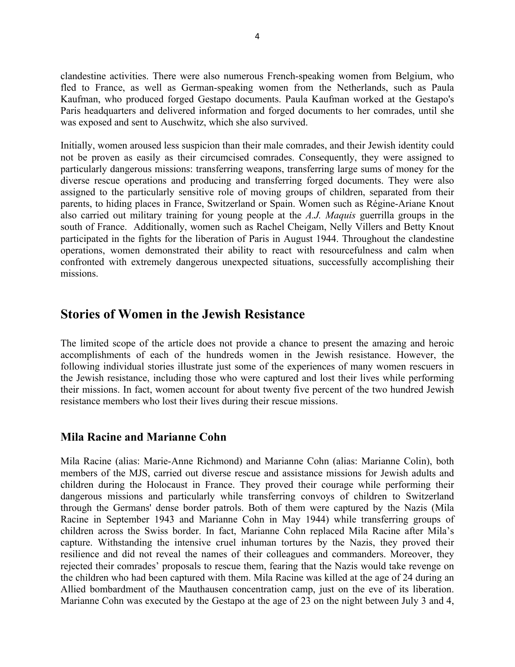clandestine activities. There were also numerous French-speaking women from Belgium, who fled to France, as well as German-speaking women from the Netherlands, such as Paula Kaufman, who produced forged Gestapo documents. Paula Kaufman worked at the Gestapo's Paris headquarters and delivered information and forged documents to her comrades, until she was exposed and sent to Auschwitz, which she also survived.

Initially, women aroused less suspicion than their male comrades, and their Jewish identity could not be proven as easily as their circumcised comrades. Consequently, they were assigned to particularly dangerous missions: transferring weapons, transferring large sums of money for the diverse rescue operations and producing and transferring forged documents. They were also assigned to the particularly sensitive role of moving groups of children, separated from their parents, to hiding places in France, Switzerland or Spain. Women such as Régine-Ariane Knout also carried out military training for young people at the *A.J. Maquis* guerrilla groups in the south of France. Additionally, women such as Rachel Cheigam, Nelly Villers and Betty Knout participated in the fights for the liberation of Paris in August 1944. Throughout the clandestine operations, women demonstrated their ability to react with resourcefulness and calm when confronted with extremely dangerous unexpected situations, successfully accomplishing their missions.

## **Stories of Women in the Jewish Resistance**

The limited scope of the article does not provide a chance to present the amazing and heroic accomplishments of each of the hundreds women in the Jewish resistance. However, the following individual stories illustrate just some of the experiences of many women rescuers in the Jewish resistance, including those who were captured and lost their lives while performing their missions. In fact, women account for about twenty five percent of the two hundred Jewish resistance members who lost their lives during their rescue missions.

#### **Mila Racine and Marianne Cohn**

Mila Racine (alias: Marie-Anne Richmond) and Marianne Cohn (alias: Marianne Colin), both members of the MJS, carried out diverse rescue and assistance missions for Jewish adults and children during the Holocaust in France. They proved their courage while performing their dangerous missions and particularly while transferring convoys of children to Switzerland through the Germans' dense border patrols. Both of them were captured by the Nazis (Mila Racine in September 1943 and Marianne Cohn in May 1944) while transferring groups of children across the Swiss border. In fact, Marianne Cohn replaced Mila Racine after Mila's capture. Withstanding the intensive cruel inhuman tortures by the Nazis, they proved their resilience and did not reveal the names of their colleagues and commanders. Moreover, they rejected their comrades' proposals to rescue them, fearing that the Nazis would take revenge on the children who had been captured with them. Mila Racine was killed at the age of 24 during an Allied bombardment of the Mauthausen concentration camp, just on the eve of its liberation. Marianne Cohn was executed by the Gestapo at the age of 23 on the night between July 3 and 4,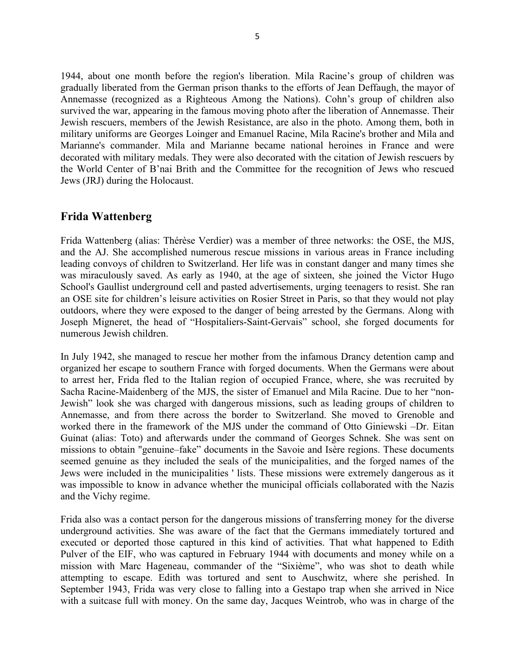1944, about one month before the region's liberation. Mila Racine's group of children was gradually liberated from the German prison thanks to the efforts of Jean Deffaugh, the mayor of Annemasse (recognized as a Righteous Among the Nations). Cohn's group of children also survived the war, appearing in the famous moving photo after the liberation of Annemasse. Their Jewish rescuers, members of the Jewish Resistance, are also in the photo. Among them, both in military uniforms are Georges Loinger and Emanuel Racine, Mila Racine's brother and Mila and Marianne's commander. Mila and Marianne became national heroines in France and were decorated with military medals. They were also decorated with the citation of Jewish rescuers by the World Center of B'nai Brith and the Committee for the recognition of Jews who rescued Jews (JRJ) during the Holocaust.

#### **Frida Wattenberg**

Frida Wattenberg (alias: Thérèse Verdier) was a member of three networks: the OSE, the MJS, and the AJ. She accomplished numerous rescue missions in various areas in France including leading convoys of children to Switzerland. Her life was in constant danger and many times she was miraculously saved. As early as 1940, at the age of sixteen, she joined the Victor Hugo School's Gaullist underground cell and pasted advertisements, urging teenagers to resist. She ran an OSE site for children's leisure activities on Rosier Street in Paris, so that they would not play outdoors, where they were exposed to the danger of being arrested by the Germans. Along with Joseph Migneret, the head of "Hospitaliers-Saint-Gervais" school, she forged documents for numerous Jewish children.

In July 1942, she managed to rescue her mother from the infamous Drancy detention camp and organized her escape to southern France with forged documents. When the Germans were about to arrest her, Frida fled to the Italian region of occupied France, where, she was recruited by Sacha Racine-Maidenberg of the MJS, the sister of Emanuel and Mila Racine. Due to her "non-Jewish" look she was charged with dangerous missions, such as leading groups of children to Annemasse, and from there across the border to Switzerland. She moved to Grenoble and worked there in the framework of the MJS under the command of Otto Giniewski –Dr. Eitan Guinat (alias: Toto) and afterwards under the command of Georges Schnek. She was sent on missions to obtain "genuine–fake" documents in the Savoie and Isère regions. These documents seemed genuine as they included the seals of the municipalities, and the forged names of the Jews were included in the municipalities ' lists. These missions were extremely dangerous as it was impossible to know in advance whether the municipal officials collaborated with the Nazis and the Vichy regime.

Frida also was a contact person for the dangerous missions of transferring money for the diverse underground activities. She was aware of the fact that the Germans immediately tortured and executed or deported those captured in this kind of activities. That what happened to Edith Pulver of the EIF, who was captured in February 1944 with documents and money while on a mission with Marc Hageneau, commander of the "Sixième", who was shot to death while attempting to escape. Edith was tortured and sent to Auschwitz, where she perished. In September 1943, Frida was very close to falling into a Gestapo trap when she arrived in Nice with a suitcase full with money. On the same day, Jacques Weintrob, who was in charge of the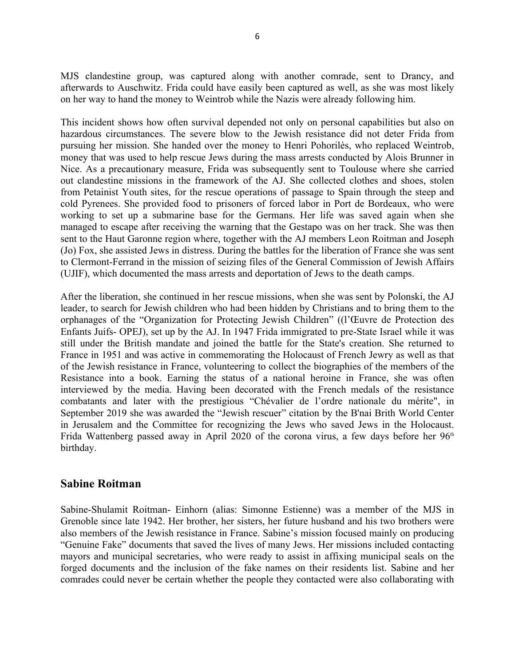MJS clandestine group, was captured along with another comrade, sent to Drancy, and afterwards to Auschwitz. Frida could have easily been captured as well, as she was most likely on her way to hand the money to Weintrob while the Nazis were already following him.

This incident shows how often survival depended not only on personal capabilities but also on hazardous circumstances. The severe blow to the Jewish resistance did not deter Frida from pursuing her mission. She handed over the money to Henri Pohorilès, who replaced Weintrob, money that was used to help rescue Jews during the mass arrests conducted by Alois Brunner in Nice. As a precautionary measure, Frida was subsequently sent to Toulouse where she carried out clandestine missions in the framework of the AJ. She collected clothes and shoes, stolen from Petainist Youth sites, for the rescue operations of passage to Spain through the steep and cold Pyrenees. She provided food to prisoners of forced labor in Port de Bordeaux, who were working to set up a submarine base for the Germans. Her life was saved again when she managed to escape after receiving the warning that the Gestapo was on her track. She was then sent to the Haut Garonne region where, together with the AJ members Leon Roitman and Joseph (Jo) Fox, she assisted Jews in distress. During the battles for the liberation of France she was sent to Clermont-Ferrand in the mission of seizing files of the General Commission of Jewish Affairs (UJIF), which documented the mass arrests and deportation of Jews to the death camps.

After the liberation, she continued in her rescue missions, when she was sent by Polonski, the AJ leader, to search for Jewish children who had been hidden by Christians and to bring them to the orphanages of the "Organization for Protecting Jewish Children" ((l'Œuvre de Protection des Enfants Juifs- OPEJ), set up by the AJ. In 1947 Frida immigrated to pre-State Israel while it was still under the British mandate and joined the battle for the State's creation. She returned to France in 1951 and was active in commemorating the Holocaust of French Jewry as well as that of the Jewish resistance in France, volunteering to collect the biographies of the members of the Resistance into a book. Earning the status of a national heroine in France, she was often interviewed by the media. Having been decorated with the French medals of the resistance combatants and later with the prestigious "Chévalier de l'ordre nationale du mérite", in September 2019 she was awarded the "Jewish rescuer" citation by the B'nai Brith World Center in Jerusalem and the Committee for recognizing the Jews who saved Jews in the Holocaust. Frida Wattenberg passed away in April 2020 of the corona virus, a few days before her 96<sup>th</sup> birthday.

#### **Sabine Roitman**

Sabine-Shulamit Roitman- Einhorn (alias: Simonne Estienne) was a member of the MJS in Grenoble since late 1942. Her brother, her sisters, her future husband and his two brothers were also members of the Jewish resistance in France. Sabine's mission focused mainly on producing "Genuine Fake" documents that saved the lives of many Jews. Her missions included contacting mayors and municipal secretaries, who were ready to assist in affixing municipal seals on the forged documents and the inclusion of the fake names on their residents list. Sabine and her comrades could never be certain whether the people they contacted were also collaborating with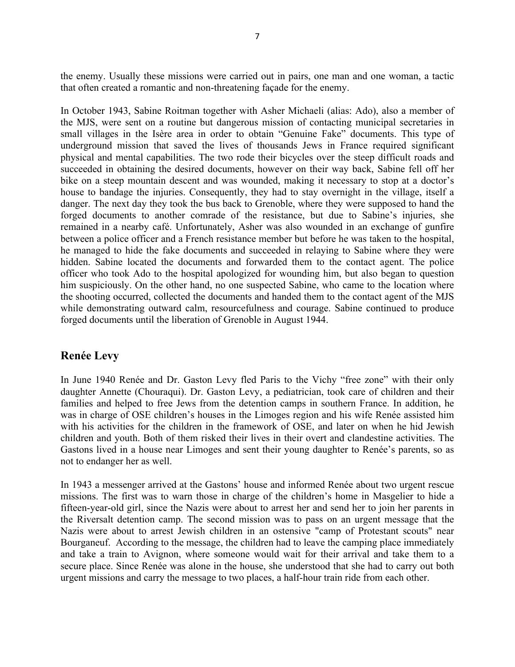the enemy. Usually these missions were carried out in pairs, one man and one woman, a tactic that often created a romantic and non-threatening façade for the enemy.

In October 1943, Sabine Roitman together with Asher Michaeli (alias: Ado), also a member of the MJS, were sent on a routine but dangerous mission of contacting municipal secretaries in small villages in the Isère area in order to obtain "Genuine Fake" documents. This type of underground mission that saved the lives of thousands Jews in France required significant physical and mental capabilities. The two rode their bicycles over the steep difficult roads and succeeded in obtaining the desired documents, however on their way back, Sabine fell off her bike on a steep mountain descent and was wounded, making it necessary to stop at a doctor's house to bandage the injuries. Consequently, they had to stay overnight in the village, itself a danger. The next day they took the bus back to Grenoble, where they were supposed to hand the forged documents to another comrade of the resistance, but due to Sabine's injuries, she remained in a nearby café. Unfortunately, Asher was also wounded in an exchange of gunfire between a police officer and a French resistance member but before he was taken to the hospital, he managed to hide the fake documents and succeeded in relaying to Sabine where they were hidden. Sabine located the documents and forwarded them to the contact agent. The police officer who took Ado to the hospital apologized for wounding him, but also began to question him suspiciously. On the other hand, no one suspected Sabine, who came to the location where the shooting occurred, collected the documents and handed them to the contact agent of the MJS while demonstrating outward calm, resourcefulness and courage. Sabine continued to produce forged documents until the liberation of Grenoble in August 1944.

#### **Renée Levy**

In June 1940 Renée and Dr. Gaston Levy fled Paris to the Vichy "free zone" with their only daughter Annette (Chouraqui). Dr. Gaston Levy, a pediatrician, took care of children and their families and helped to free Jews from the detention camps in southern France. In addition, he was in charge of OSE children's houses in the Limoges region and his wife Renée assisted him with his activities for the children in the framework of OSE, and later on when he hid Jewish children and youth. Both of them risked their lives in their overt and clandestine activities. The Gastons lived in a house near Limoges and sent their young daughter to Renée's parents, so as not to endanger her as well.

In 1943 a messenger arrived at the Gastons' house and informed Renée about two urgent rescue missions. The first was to warn those in charge of the children's home in Masgelier to hide a fifteen-year-old girl, since the Nazis were about to arrest her and send her to join her parents in the Riversalt detention camp. The second mission was to pass on an urgent message that the Nazis were about to arrest Jewish children in an ostensive "camp of Protestant scouts" near Bourganeuf. According to the message, the children had to leave the camping place immediately and take a train to Avignon, where someone would wait for their arrival and take them to a secure place. Since Renée was alone in the house, she understood that she had to carry out both urgent missions and carry the message to two places, a half-hour train ride from each other.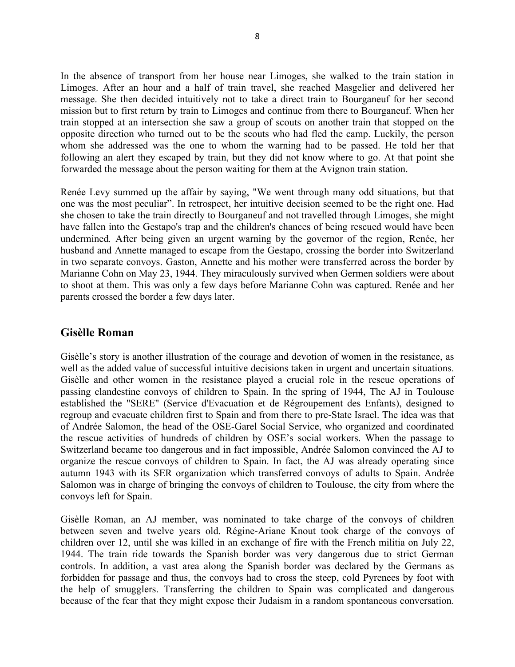In the absence of transport from her house near Limoges, she walked to the train station in Limoges. After an hour and a half of train travel, she reached Masgelier and delivered her message. She then decided intuitively not to take a direct train to Bourganeuf for her second mission but to first return by train to Limoges and continue from there to Bourganeuf. When her train stopped at an intersection she saw a group of scouts on another train that stopped on the opposite direction who turned out to be the scouts who had fled the camp. Luckily, the person whom she addressed was the one to whom the warning had to be passed. He told her that following an alert they escaped by train, but they did not know where to go. At that point she forwarded the message about the person waiting for them at the Avignon train station.

Renée Levy summed up the affair by saying, "We went through many odd situations, but that one was the most peculiar". In retrospect, her intuitive decision seemed to be the right one. Had she chosen to take the train directly to Bourganeuf and not travelled through Limoges, she might have fallen into the Gestapo's trap and the children's chances of being rescued would have been undermined*.* After being given an urgent warning by the governor of the region, Renée, her husband and Annette managed to escape from the Gestapo, crossing the border into Switzerland in two separate convoys. Gaston, Annette and his mother were transferred across the border by Marianne Cohn on May 23, 1944. They miraculously survived when Germen soldiers were about to shoot at them. This was only a few days before Marianne Cohn was captured. Renée and her parents crossed the border a few days later.

#### **Gisèlle Roman**

Gisèlle's story is another illustration of the courage and devotion of women in the resistance, as well as the added value of successful intuitive decisions taken in urgent and uncertain situations. Gisèlle and other women in the resistance played a crucial role in the rescue operations of passing clandestine convoys of children to Spain. In the spring of 1944, The AJ in Toulouse established the "SERE" (Service d'Evacuation et de Régroupement des Enfants), designed to regroup and evacuate children first to Spain and from there to pre-State Israel. The idea was that of Andrée Salomon, the head of the OSE-Garel Social Service, who organized and coordinated the rescue activities of hundreds of children by OSE's social workers. When the passage to Switzerland became too dangerous and in fact impossible, Andrée Salomon convinced the AJ to organize the rescue convoys of children to Spain. In fact, the AJ was already operating since autumn 1943 with its SER organization which transferred convoys of adults to Spain. Andrée Salomon was in charge of bringing the convoys of children to Toulouse, the city from where the convoys left for Spain.

Gisèlle Roman, an AJ member, was nominated to take charge of the convoys of children between seven and twelve years old. Régine-Ariane Knout took charge of the convoys of children over 12, until she was killed in an exchange of fire with the French militia on July 22, 1944. The train ride towards the Spanish border was very dangerous due to strict German controls. In addition, a vast area along the Spanish border was declared by the Germans as forbidden for passage and thus, the convoys had to cross the steep, cold Pyrenees by foot with the help of smugglers. Transferring the children to Spain was complicated and dangerous because of the fear that they might expose their Judaism in a random spontaneous conversation.